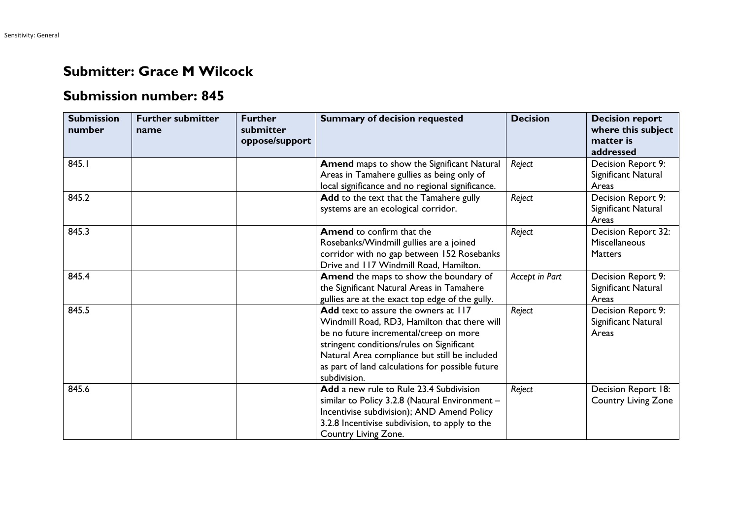## **Submitter: Grace M Wilcock**

## **Submission number: 845**

| <b>Submission</b><br>number | <b>Further submitter</b><br>name | <b>Further</b><br>submitter<br>oppose/support | <b>Summary of decision requested</b>                                                                                                                                                                                                                                                             | <b>Decision</b> | <b>Decision report</b><br>where this subject<br>matter is<br>addressed |
|-----------------------------|----------------------------------|-----------------------------------------------|--------------------------------------------------------------------------------------------------------------------------------------------------------------------------------------------------------------------------------------------------------------------------------------------------|-----------------|------------------------------------------------------------------------|
| 845.1                       |                                  |                                               | <b>Amend</b> maps to show the Significant Natural<br>Areas in Tamahere gullies as being only of<br>local significance and no regional significance.                                                                                                                                              | Reject          | Decision Report 9:<br>Significant Natural<br>Areas                     |
| 845.2                       |                                  |                                               | Add to the text that the Tamahere gully<br>systems are an ecological corridor.                                                                                                                                                                                                                   | Reject          | Decision Report 9:<br>Significant Natural<br>Areas                     |
| 845.3                       |                                  |                                               | <b>Amend</b> to confirm that the<br>Rosebanks/Windmill gullies are a joined<br>corridor with no gap between 152 Rosebanks<br>Drive and 117 Windmill Road, Hamilton.                                                                                                                              | Reject          | Decision Report 32:<br><b>Miscellaneous</b><br><b>Matters</b>          |
| 845.4                       |                                  |                                               | Amend the maps to show the boundary of<br>the Significant Natural Areas in Tamahere<br>gullies are at the exact top edge of the gully.                                                                                                                                                           | Accept in Part  | Decision Report 9:<br>Significant Natural<br>Areas                     |
| 845.5                       |                                  |                                               | Add text to assure the owners at 117<br>Windmill Road, RD3, Hamilton that there will<br>be no future incremental/creep on more<br>stringent conditions/rules on Significant<br>Natural Area compliance but still be included<br>as part of land calculations for possible future<br>subdivision. | Reject          | Decision Report 9:<br>Significant Natural<br>Areas                     |
| 845.6                       |                                  |                                               | Add a new rule to Rule 23.4 Subdivision<br>similar to Policy 3.2.8 (Natural Environment -<br>Incentivise subdivision); AND Amend Policy<br>3.2.8 Incentivise subdivision, to apply to the<br>Country Living Zone.                                                                                | Reject          | Decision Report 18:<br><b>Country Living Zone</b>                      |